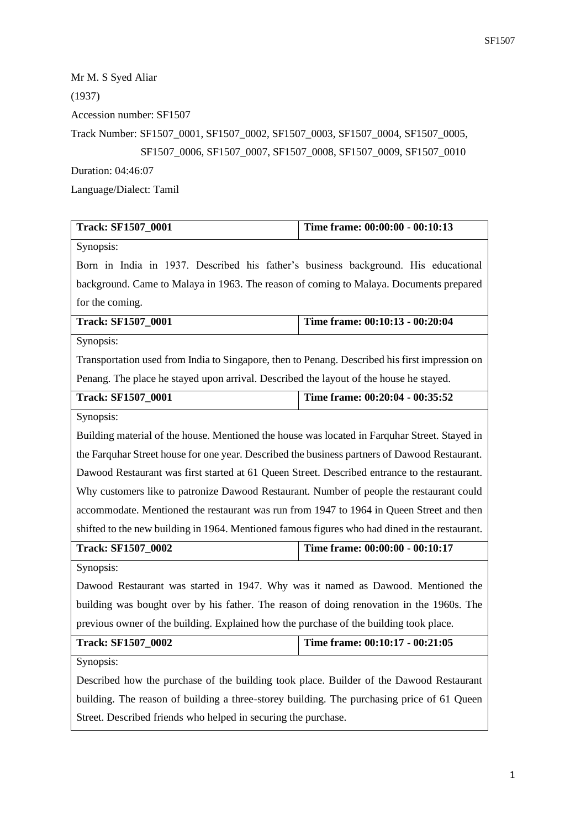Mr M. S Syed Aliar (1937) Accession number: SF1507 Track Number: SF1507\_0001, SF1507\_0002, SF1507\_0003, SF1507\_0004, SF1507\_0005, SF1507\_0006, SF1507\_0007, SF1507\_0008, SF1507\_0009, SF1507\_0010 Duration: 04:46:07

Language/Dialect: Tamil

| <b>Track: SF1507_0001</b>                                                                      | Time frame: 00:00:00 - 00:10:13 |  |
|------------------------------------------------------------------------------------------------|---------------------------------|--|
|                                                                                                |                                 |  |
| Synopsis:                                                                                      |                                 |  |
| Born in India in 1937. Described his father's business background. His educational             |                                 |  |
| background. Came to Malaya in 1963. The reason of coming to Malaya. Documents prepared         |                                 |  |
| for the coming.                                                                                |                                 |  |
| <b>Track: SF1507_0001</b>                                                                      | Time frame: 00:10:13 - 00:20:04 |  |
| Synopsis:                                                                                      |                                 |  |
| Transportation used from India to Singapore, then to Penang. Described his first impression on |                                 |  |
| Penang. The place he stayed upon arrival. Described the layout of the house he stayed.         |                                 |  |
| <b>Track: SF1507_0001</b>                                                                      | Time frame: 00:20:04 - 00:35:52 |  |
| Synopsis:                                                                                      |                                 |  |
| Building material of the house. Mentioned the house was located in Farquhar Street. Stayed in  |                                 |  |
| the Farquhar Street house for one year. Described the business partners of Dawood Restaurant.  |                                 |  |
| Dawood Restaurant was first started at 61 Queen Street. Described entrance to the restaurant.  |                                 |  |
| Why customers like to patronize Dawood Restaurant. Number of people the restaurant could       |                                 |  |
| accommodate. Mentioned the restaurant was run from 1947 to 1964 in Queen Street and then       |                                 |  |
| shifted to the new building in 1964. Mentioned famous figures who had dined in the restaurant. |                                 |  |
| <b>Track: SF1507_0002</b>                                                                      | Time frame: 00:00:00 - 00:10:17 |  |
| Synopsis:                                                                                      |                                 |  |
| Dawood Restaurant was started in 1947. Why was it named as Dawood. Mentioned the               |                                 |  |
| building was bought over by his father. The reason of doing renovation in the 1960s. The       |                                 |  |
| previous owner of the building. Explained how the purchase of the building took place.         |                                 |  |
| <b>Track: SF1507_0002</b>                                                                      | Time frame: 00:10:17 - 00:21:05 |  |
| Synopsis:                                                                                      |                                 |  |
| Described how the purchase of the building took place. Builder of the Dawood Restaurant        |                                 |  |
| building. The reason of building a three-storey building. The purchasing price of 61 Queen     |                                 |  |
| Street. Described friends who helped in securing the purchase.                                 |                                 |  |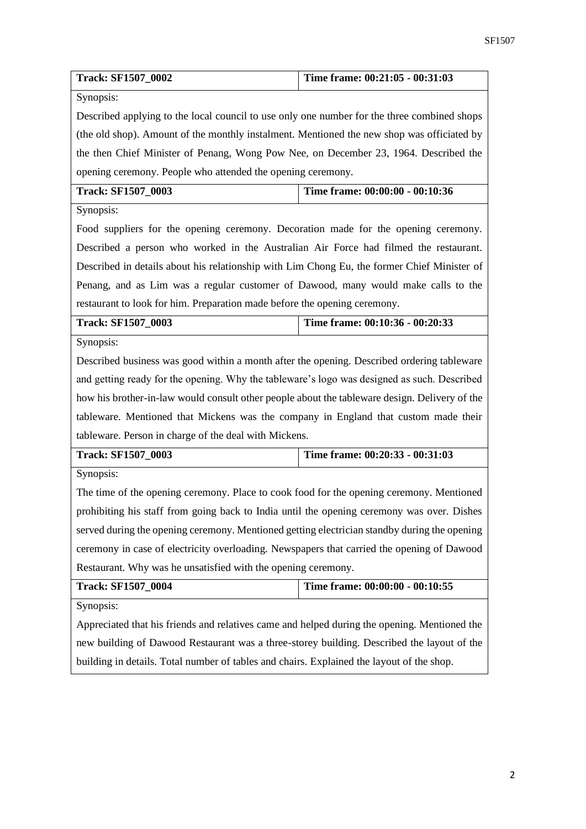| <b>Track: SF1507_0002</b>                                                                     | Time frame: 00:21:05 - 00:31:03 |  |
|-----------------------------------------------------------------------------------------------|---------------------------------|--|
| Synopsis:                                                                                     |                                 |  |
| Described applying to the local council to use only one number for the three combined shops   |                                 |  |
| (the old shop). Amount of the monthly instalment. Mentioned the new shop was officiated by    |                                 |  |
| the then Chief Minister of Penang, Wong Pow Nee, on December 23, 1964. Described the          |                                 |  |
| opening ceremony. People who attended the opening ceremony.                                   |                                 |  |
| <b>Track: SF1507_0003</b>                                                                     | Time frame: 00:00:00 - 00:10:36 |  |
| Synopsis:                                                                                     |                                 |  |
| Food suppliers for the opening ceremony. Decoration made for the opening ceremony.            |                                 |  |
| Described a person who worked in the Australian Air Force had filmed the restaurant.          |                                 |  |
| Described in details about his relationship with Lim Chong Eu, the former Chief Minister of   |                                 |  |
| Penang, and as Lim was a regular customer of Dawood, many would make calls to the             |                                 |  |
| restaurant to look for him. Preparation made before the opening ceremony.                     |                                 |  |
| <b>Track: SF1507_0003</b>                                                                     | Time frame: 00:10:36 - 00:20:33 |  |
| Synopsis:                                                                                     |                                 |  |
| Described business was good within a month after the opening. Described ordering tableware    |                                 |  |
| and getting ready for the opening. Why the tableware's logo was designed as such. Described   |                                 |  |
| how his brother-in-law would consult other people about the tableware design. Delivery of the |                                 |  |
| tableware. Mentioned that Mickens was the company in England that custom made their           |                                 |  |
| tableware. Person in charge of the deal with Mickens.                                         |                                 |  |
| <b>Track: SF1507_0003</b>                                                                     | Time frame: 00:20:33 - 00:31:03 |  |
| Synopsis:                                                                                     |                                 |  |
| The time of the opening ceremony. Place to cook food for the opening ceremony. Mentioned      |                                 |  |
| prohibiting his staff from going back to India until the opening ceremony was over. Dishes    |                                 |  |
| served during the opening ceremony. Mentioned getting electrician standby during the opening  |                                 |  |
| ceremony in case of electricity overloading. Newspapers that carried the opening of Dawood    |                                 |  |
| Restaurant. Why was he unsatisfied with the opening ceremony.                                 |                                 |  |
| <b>Track: SF1507_0004</b>                                                                     | Time frame: 00:00:00 - 00:10:55 |  |
| Synopsis:                                                                                     |                                 |  |
| Appreciated that his friends and relatives came and helped during the opening. Mentioned the  |                                 |  |
| new building of Dawood Restaurant was a three-storey building. Described the layout of the    |                                 |  |
| building in details. Total number of tables and chairs. Explained the layout of the shop.     |                                 |  |
|                                                                                               |                                 |  |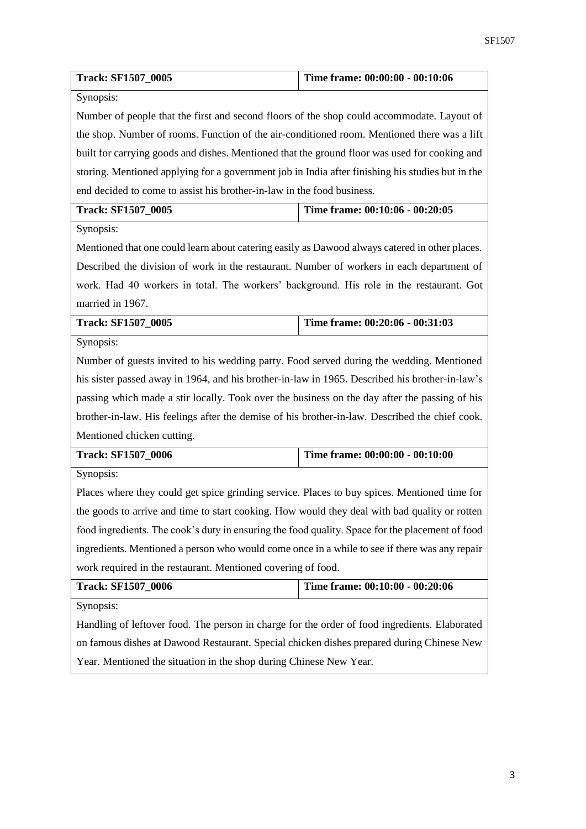| <b>Track: SF1507_0005</b>                                                                        | Time frame: 00:00:00 - 00:10:06 |  |
|--------------------------------------------------------------------------------------------------|---------------------------------|--|
| Synopsis:                                                                                        |                                 |  |
| Number of people that the first and second floors of the shop could accommodate. Layout of       |                                 |  |
| the shop. Number of rooms. Function of the air-conditioned room. Mentioned there was a lift      |                                 |  |
| built for carrying goods and dishes. Mentioned that the ground floor was used for cooking and    |                                 |  |
| storing. Mentioned applying for a government job in India after finishing his studies but in the |                                 |  |
| end decided to come to assist his brother-in-law in the food business.                           |                                 |  |
| <b>Track: SF1507_0005</b>                                                                        | Time frame: 00:10:06 - 00:20:05 |  |
| Synopsis:                                                                                        |                                 |  |
| Mentioned that one could learn about catering easily as Dawood always catered in other places.   |                                 |  |
| Described the division of work in the restaurant. Number of workers in each department of        |                                 |  |
| work. Had 40 workers in total. The workers' background. His role in the restaurant. Got          |                                 |  |
| married in 1967.                                                                                 |                                 |  |
| <b>Track: SF1507_0005</b>                                                                        | Time frame: 00:20:06 - 00:31:03 |  |
| Synopsis:                                                                                        |                                 |  |
| Number of guests invited to his wedding party. Food served during the wedding. Mentioned         |                                 |  |
| his sister passed away in 1964, and his brother-in-law in 1965. Described his brother-in-law's   |                                 |  |
| passing which made a stir locally. Took over the business on the day after the passing of his    |                                 |  |
| brother-in-law. His feelings after the demise of his brother-in-law. Described the chief cook.   |                                 |  |
| Mentioned chicken cutting.                                                                       |                                 |  |
| <b>Track: SF1507_0006</b>                                                                        | Time frame: 00:00:00 - 00:10:00 |  |
| Synopsis:                                                                                        |                                 |  |
| Places where they could get spice grinding service. Places to buy spices. Mentioned time for     |                                 |  |
| the goods to arrive and time to start cooking. How would they deal with bad quality or rotten    |                                 |  |
| food ingredients. The cook's duty in ensuring the food quality. Space for the placement of food  |                                 |  |
| ingredients. Mentioned a person who would come once in a while to see if there was any repair    |                                 |  |
| work required in the restaurant. Mentioned covering of food.                                     |                                 |  |
| <b>Track: SF1507_0006</b>                                                                        | Time frame: 00:10:00 - 00:20:06 |  |
| Synopsis:                                                                                        |                                 |  |
| Handling of leftover food. The person in charge for the order of food ingredients. Elaborated    |                                 |  |
| on famous dishes at Dawood Restaurant. Special chicken dishes prepared during Chinese New        |                                 |  |
| Year. Mentioned the situation in the shop during Chinese New Year.                               |                                 |  |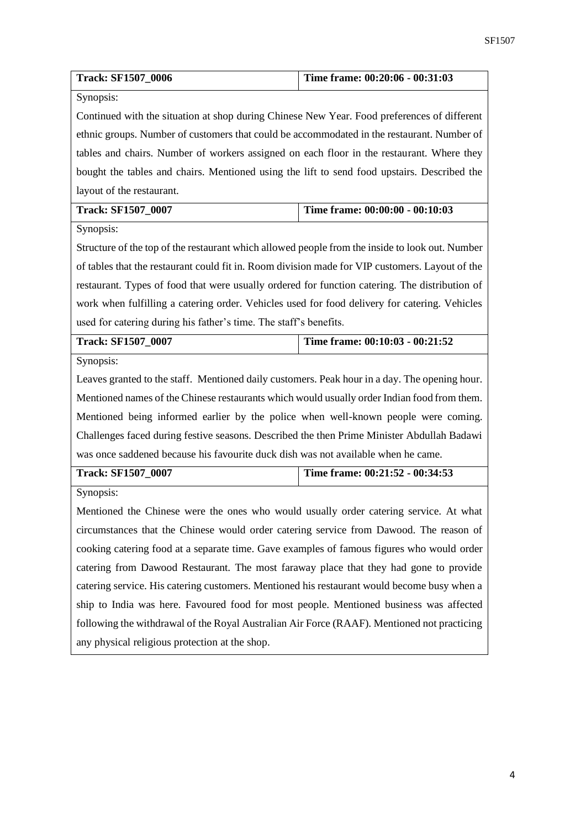| <b>Track: SF1507_0006</b>                                                                       | Time frame: 00:20:06 - 00:31:03 |  |
|-------------------------------------------------------------------------------------------------|---------------------------------|--|
| Synopsis:                                                                                       |                                 |  |
| Continued with the situation at shop during Chinese New Year. Food preferences of different     |                                 |  |
| ethnic groups. Number of customers that could be accommodated in the restaurant. Number of      |                                 |  |
| tables and chairs. Number of workers assigned on each floor in the restaurant. Where they       |                                 |  |
| bought the tables and chairs. Mentioned using the lift to send food upstairs. Described the     |                                 |  |
| layout of the restaurant.                                                                       |                                 |  |
| <b>Track: SF1507_0007</b>                                                                       | Time frame: 00:00:00 - 00:10:03 |  |
| Synopsis:                                                                                       |                                 |  |
| Structure of the top of the restaurant which allowed people from the inside to look out. Number |                                 |  |
| of tables that the restaurant could fit in. Room division made for VIP customers. Layout of the |                                 |  |
| restaurant. Types of food that were usually ordered for function catering. The distribution of  |                                 |  |
| work when fulfilling a catering order. Vehicles used for food delivery for catering. Vehicles   |                                 |  |
| used for catering during his father's time. The staff's benefits.                               |                                 |  |
| <b>Track: SF1507_0007</b>                                                                       | Time frame: 00:10:03 - 00:21:52 |  |
| Synopsis:                                                                                       |                                 |  |
| Leaves granted to the staff. Mentioned daily customers. Peak hour in a day. The opening hour.   |                                 |  |
| Mentioned names of the Chinese restaurants which would usually order Indian food from them.     |                                 |  |
| Mentioned being informed earlier by the police when well-known people were coming.              |                                 |  |
| Challenges faced during festive seasons. Described the then Prime Minister Abdullah Badawi      |                                 |  |
| was once saddened because his favourite duck dish was not available when he came.               |                                 |  |
| <b>Track: SF1507 0007</b>                                                                       | Time frame: 00:21:52 - 00:34:53 |  |
| Synopsis:                                                                                       |                                 |  |
| Mentioned the Chinese were the ones who would usually order catering service. At what           |                                 |  |
| circumstances that the Chinese would order catering service from Dawood. The reason of          |                                 |  |
| cooking catering food at a separate time. Gave examples of famous figures who would order       |                                 |  |
| catering from Dawood Restaurant. The most faraway place that they had gone to provide           |                                 |  |
| catering service. His catering customers. Mentioned his restaurant would become busy when a     |                                 |  |
| ship to India was here. Favoured food for most people. Mentioned business was affected          |                                 |  |
| following the withdrawal of the Royal Australian Air Force (RAAF). Mentioned not practicing     |                                 |  |
| any physical religious protection at the shop.                                                  |                                 |  |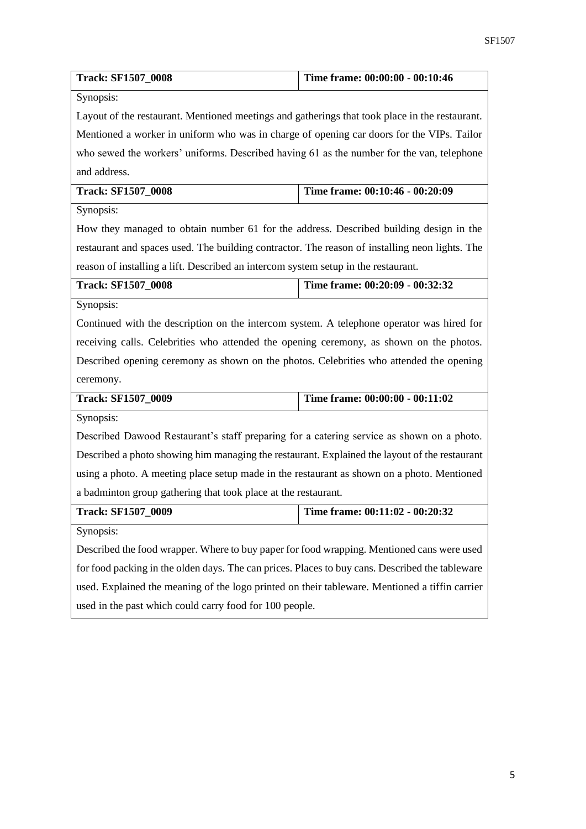| <b>Track: SF1507_0008</b>                                                                       | Time frame: 00:00:00 - 00:10:46 |  |
|-------------------------------------------------------------------------------------------------|---------------------------------|--|
| Synopsis:                                                                                       |                                 |  |
| Layout of the restaurant. Mentioned meetings and gatherings that took place in the restaurant.  |                                 |  |
| Mentioned a worker in uniform who was in charge of opening car doors for the VIPs. Tailor       |                                 |  |
| who sewed the workers' uniforms. Described having 61 as the number for the van, telephone       |                                 |  |
| and address.                                                                                    |                                 |  |
| <b>Track: SF1507_0008</b>                                                                       | Time frame: 00:10:46 - 00:20:09 |  |
| Synopsis:                                                                                       |                                 |  |
| How they managed to obtain number 61 for the address. Described building design in the          |                                 |  |
| restaurant and spaces used. The building contractor. The reason of installing neon lights. The  |                                 |  |
| reason of installing a lift. Described an intercom system setup in the restaurant.              |                                 |  |
| <b>Track: SF1507_0008</b>                                                                       | Time frame: 00:20:09 - 00:32:32 |  |
| Synopsis:                                                                                       |                                 |  |
| Continued with the description on the intercom system. A telephone operator was hired for       |                                 |  |
| receiving calls. Celebrities who attended the opening ceremony, as shown on the photos.         |                                 |  |
| Described opening ceremony as shown on the photos. Celebrities who attended the opening         |                                 |  |
| ceremony.                                                                                       |                                 |  |
| Track: SF1507_0009                                                                              | Time frame: 00:00:00 - 00:11:02 |  |
| Synopsis:                                                                                       |                                 |  |
| Described Dawood Restaurant's staff preparing for a catering service as shown on a photo.       |                                 |  |
| Described a photo showing him managing the restaurant. Explained the layout of the restaurant   |                                 |  |
| using a photo. A meeting place setup made in the restaurant as shown on a photo. Mentioned      |                                 |  |
| a badminton group gathering that took place at the restaurant.                                  |                                 |  |
| <b>Track: SF1507_0009</b>                                                                       | Time frame: 00:11:02 - 00:20:32 |  |
| Synopsis:                                                                                       |                                 |  |
| Described the food wrapper. Where to buy paper for food wrapping. Mentioned cans were used      |                                 |  |
| for food packing in the olden days. The can prices. Places to buy cans. Described the tableware |                                 |  |
| used. Explained the meaning of the logo printed on their tableware. Mentioned a tiffin carrier  |                                 |  |
| used in the past which could carry food for 100 people.                                         |                                 |  |